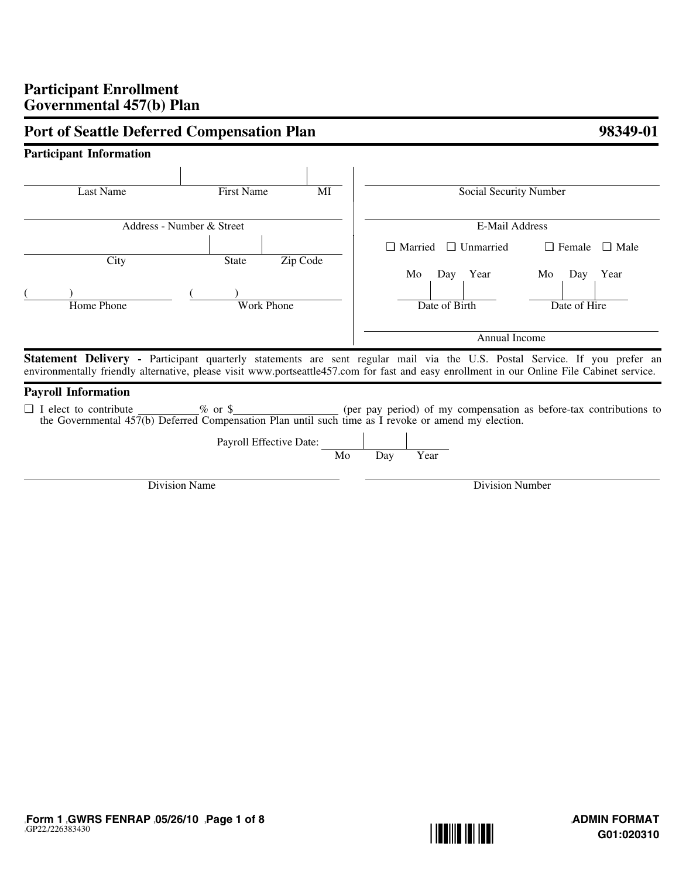# **Participant Enrollment Governmental 457(b) Plan**

| <b>Participant Information</b> |                                                                                                                    |          |             |                                 |                                                                                                                                                                                                                                                                         |
|--------------------------------|--------------------------------------------------------------------------------------------------------------------|----------|-------------|---------------------------------|-------------------------------------------------------------------------------------------------------------------------------------------------------------------------------------------------------------------------------------------------------------------------|
|                                |                                                                                                                    |          |             |                                 |                                                                                                                                                                                                                                                                         |
| Last Name                      | <b>First Name</b>                                                                                                  | MI       |             | Social Security Number          |                                                                                                                                                                                                                                                                         |
|                                | Address - Number & Street                                                                                          |          |             | <b>E-Mail Address</b>           |                                                                                                                                                                                                                                                                         |
|                                |                                                                                                                    |          |             | $\Box$ Married $\Box$ Unmarried | $\Box$ Female $\Box$ Male                                                                                                                                                                                                                                               |
| City                           | <b>State</b>                                                                                                       | Zip Code | Mo          | Day Year                        | Mo<br>Day<br>Year                                                                                                                                                                                                                                                       |
| Home Phone                     | <b>Work Phone</b>                                                                                                  |          |             | Date of Birth                   | Date of Hire                                                                                                                                                                                                                                                            |
|                                |                                                                                                                    |          |             | Annual Income                   |                                                                                                                                                                                                                                                                         |
|                                |                                                                                                                    |          |             |                                 | Statement Delivery - Participant quarterly statements are sent regular mail via the U.S. Postal Service. If you prefer an<br>environmentally friendly alternative, please visit www.portseattle457.com for fast and easy enrollment in our Online File Cabinet service. |
| <b>Payroll Information</b>     |                                                                                                                    |          |             |                                 |                                                                                                                                                                                                                                                                         |
| $\Box$ I elect to contribute   | $\%$ or \$<br>the Governmental 457(b) Deferred Compensation Plan until such time as I revoke or amend my election. |          |             |                                 | (per pay period) of my compensation as before-tax contributions to                                                                                                                                                                                                      |
|                                | Payroll Effective Date:                                                                                            | Mo       | Year<br>Day |                                 |                                                                                                                                                                                                                                                                         |
|                                | Division Name                                                                                                      |          |             | Division Number                 |                                                                                                                                                                                                                                                                         |

# **Port of Seattle Deferred Compensation Plan 198349-01**

][**Form 1 ][GWRS FENRAP ][05/26/10 ][Page 1 of 8** ][GP22][/226383430

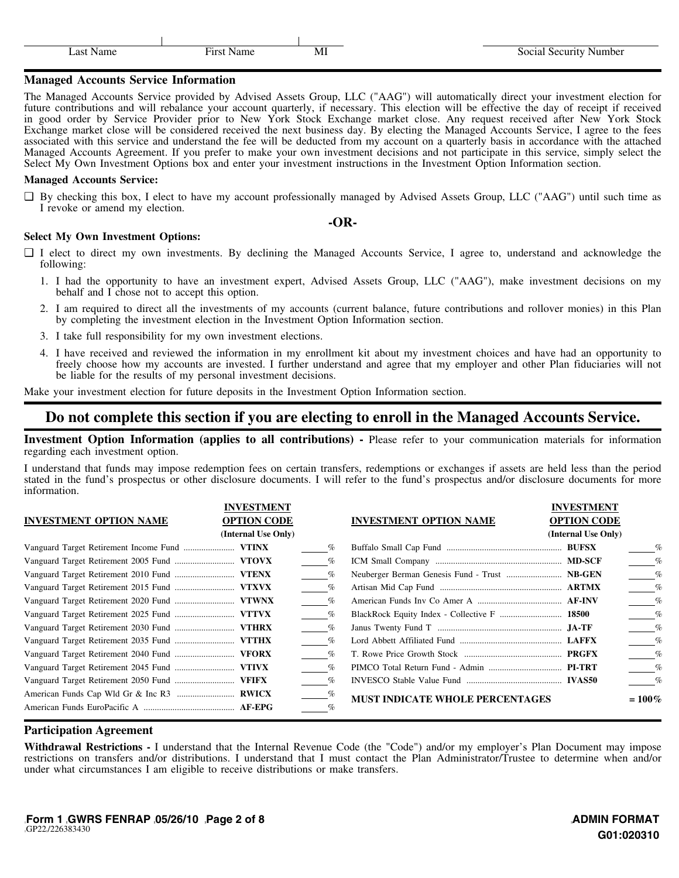| .ast | $\sim$ $-$ |    |  |
|------|------------|----|--|
|      | ``         | MП |  |

 $\mathbf{I}$ 

#### **Managed Accounts Service Information**

 $\mathbf{I}$ 

The Managed Accounts Service provided by Advised Assets Group, LLC ("AAG") will automatically direct your investment election for future contributions and will rebalance your account quarterly, if necessary. This election will be effective the day of receipt if received in good order by Service Provider prior to New York Stock Exchange market close. Any request received after New York Stock Exchange market close will be considered received the next business day. By electing the Managed Accounts Service, I agree to the fees associated with this service and understand the fee will be deducted from my account on a quarterly basis in accordance with the attached Managed Accounts Agreement. If you prefer to make your own investment decisions and not participate in this service, simply select the Select My Own Investment Options box and enter your investment instructions in the Investment Option Information section.

#### **Managed Accounts Service:**

❑ By checking this box, I elect to have my account professionally managed by Advised Assets Group, LLC ("AAG") until such time as I revoke or amend my election.

#### **-OR-**

#### **Select My Own Investment Options:**

- ❑ I elect to direct my own investments. By declining the Managed Accounts Service, I agree to, understand and acknowledge the following:
	- 1. I had the opportunity to have an investment expert, Advised Assets Group, LLC ("AAG"), make investment decisions on my behalf and I chose not to accept this option.
	- 2. I am required to direct all the investments of my accounts (current balance, future contributions and rollover monies) in this Plan by completing the investment election in the Investment Option Information section.
	- 3. I take full responsibility for my own investment elections.
	- 4. I have received and reviewed the information in my enrollment kit about my investment choices and have had an opportunity to freely choose how my accounts are invested. I further understand and agree that my employer and other Plan fiduciaries will not be liable for the results of my personal investment decisions.

Make your investment election for future deposits in the Investment Option Information section.

## **Do not complete this section if you are electing to enroll in the Managed Accounts Service.**

**Investment Option Information (applies to all contributions) -** Please refer to your communication materials for information regarding each investment option.

I understand that funds may impose redemption fees on certain transfers, redemptions or exchanges if assets are held less than the period stated in the fund's prospectus or other disclosure documents. I will refer to the fund's prospectus and/or disclosure documents for more information.

|                               | <b>INVESTMENT</b>   |                 |                                        | <b>INVESTMENT</b>   |                 |
|-------------------------------|---------------------|-----------------|----------------------------------------|---------------------|-----------------|
| <b>INVESTMENT OPTION NAME</b> | <b>OPTION CODE</b>  |                 | <b>INVESTMENT OPTION NAME</b>          | <b>OPTION CODE</b>  |                 |
|                               | (Internal Use Only) |                 |                                        | (Internal Use Only) |                 |
|                               |                     | %               |                                        |                     | $\%$            |
|                               |                     | $\%$            |                                        |                     | $\%$            |
|                               |                     | %               |                                        |                     | $\%$            |
|                               |                     | %               |                                        |                     | $\%$            |
|                               |                     | $\%$            |                                        |                     | $\%$            |
|                               |                     | $\%$            |                                        |                     | $\%$            |
|                               |                     | $\%$            |                                        |                     | $\frac{\%}{\%}$ |
|                               |                     | $\frac{\%}{\%}$ |                                        |                     | $\frac{q}{q}$   |
|                               |                     | $\%$            |                                        |                     | $\%$            |
|                               |                     | $\%$            |                                        |                     | $\%$            |
|                               |                     | $\%$            |                                        |                     | $\%$            |
|                               |                     |                 | <b>MUST INDICATE WHOLE PERCENTAGES</b> |                     | $= 100\%$       |
|                               |                     | $\%$            |                                        |                     |                 |
|                               |                     |                 |                                        |                     |                 |

## **Participation Agreement**

**Withdrawal Restrictions -** I understand that the Internal Revenue Code (the "Code") and/or my employer's Plan Document may impose restrictions on transfers and/or distributions. I understand that I must contact the Plan Administrator/Trustee to determine when and/or under what circumstances I am eligible to receive distributions or make transfers.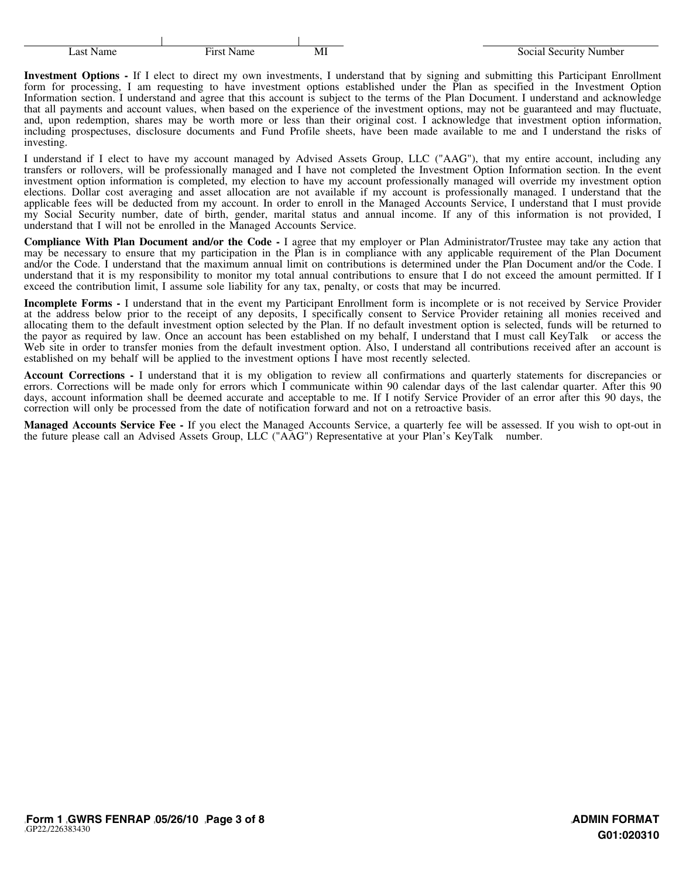| Last Name | First<br>NТ<br>Name |  |
|-----------|---------------------|--|

 $\mathbf{I}$ 

**Investment Options -** If I elect to direct my own investments, I understand that by signing and submitting this Participant Enrollment form for processing, I am requesting to have investment options established under the Plan as specified in the Investment Option Information section. I understand and agree that this account is subject to the terms of the Plan Document. I understand and acknowledge that all payments and account values, when based on the experience of the investment options, may not be guaranteed and may fluctuate, and, upon redemption, shares may be worth more or less than their original cost. I acknowledge that investment option information, including prospectuses, disclosure documents and Fund Profile sheets, have been made available to me and I understand the risks of investing.

 $\mathbf{I}$ 

I understand if I elect to have my account managed by Advised Assets Group, LLC ("AAG"), that my entire account, including any transfers or rollovers, will be professionally managed and I have not completed the Investment Option Information section. In the event investment option information is completed, my election to have my account professionally managed will override my investment option elections. Dollar cost averaging and asset allocation are not available if my account is professionally managed. I understand that the applicable fees will be deducted from my account. In order to enroll in the Managed Accounts Service, I understand that I must provide my Social Security number, date of birth, gender, marital status and annual income. If any of this information is not provided, I understand that I will not be enrolled in the Managed Accounts Service.

**Compliance With Plan Document and/or the Code -** I agree that my employer or Plan Administrator/Trustee may take any action that may be necessary to ensure that my participation in the Plan is in compliance with any applicable requirement of the Plan Document and/or the Code. I understand that the maximum annual limit on contributions is determined under the Plan Document and/or the Code. I understand that it is my responsibility to monitor my total annual contributions to ensure that I do not exceed the amount permitted. If I exceed the contribution limit, I assume sole liability for any tax, penalty, or costs that may be incurred.

**Incomplete Forms -** I understand that in the event my Participant Enrollment form is incomplete or is not received by Service Provider at the address below prior to the receipt of any deposits, I specifically consent to Service Provider retaining all monies received and allocating them to the default investment option selected by the Plan. If no default investment option is selected, funds will be returned to the payor as required by law. Once an account has been established on my behalf, I understand that I must call KeyTalk $\mathcal{R}$  or access the Web site in order to transfer monies from the default investment option. Also, I understand all contributions received after an account is established on my behalf will be applied to the investment options I have most recently selected.

**Account Corrections -** I understand that it is my obligation to review all confirmations and quarterly statements for discrepancies or errors. Corrections will be made only for errors which I communicate within 90 calendar days of the last calendar quarter. After this 90 days, account information shall be deemed accurate and acceptable to me. If I notify Service Provider of an error after this 90 days, the correction will only be processed from the date of notification forward and not on a retroactive basis.

**Managed Accounts Service Fee -** If you elect the Managed Accounts Service, a quarterly fee will be assessed. If you wish to opt-out in the future please call an Advised Assets Group, LLC ("AAG") Representative at your Plan's KeyTalk  $\Phi$  number.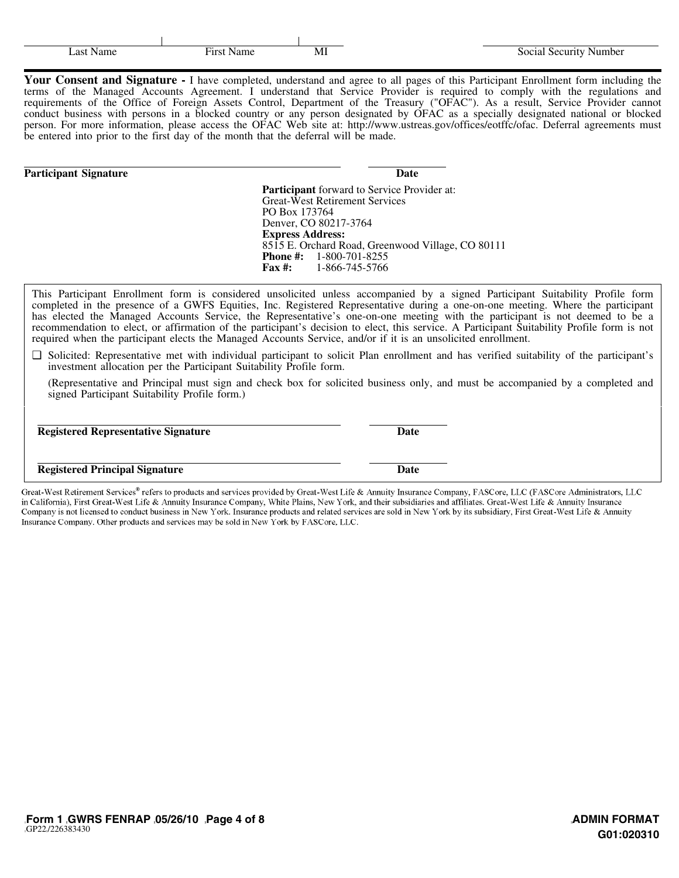| -M. |
|-----|

 $\mathbf{I}$ 

Your Consent and Signature - I have completed, understand and agree to all pages of this Participant Enrollment form including the terms of the Managed Accounts Agreement. I understand that Service Provider is required to comply with the regulations and requirements of the Office of Foreign Assets Control, Department of the Treasury ("OFAC"). As a result, Service Provider cannot conduct business with persons in a blocked country or any person designated by OFAC as a specially designated national or blocked person. For more information, please access the OFAC Web site at: http://www.ustreas.gov/offices/eotffc/ofac. Deferral agreements must be entered into prior to the first day of the month that the deferral will be made.

#### **Participant Signature Date**

 $\mathbf{I}$ 

**Participant** forward to Service Provider at: Great-West Retirement Services PO Box 173764 Denver, CO 80217-3764 **Express Address:** 8515 E. Orchard Road, Greenwood Village, CO 80111 **Phone #:** 1-800-701-8255 **Fax #:** 1-866-745-5766

This Participant Enrollment form is considered unsolicited unless accompanied by a signed Participant Suitability Profile form completed in the presence of a GWFS Equities, Inc. Registered Representative during a one-on-one meeting. Where the participant has elected the Managed Accounts Service, the Representative's one-on-one meeting with the participant is not deemed to be a recommendation to elect, or affirmation of the participant's decision to elect, this service. A Participant Suitability Profile form is not required when the participant elects the Managed Accounts Service, and/or if it is an unsolicited enrollment.

❑ Solicited: Representative met with individual participant to solicit Plan enrollment and has verified suitability of the participant's investment allocation per the Participant Suitability Profile form.

(Representative and Principal must sign and check box for solicited business only, and must be accompanied by a completed and signed Participant Suitability Profile form.)

**Registered Representative Signature Date**

## **Registered Principal Signature Date**

Great-West Retirement Services® refers to products and services provided by Great-West Life & Annuity Insurance Company, FASCore, LLC (FASCore Administrators, LLC in California), First Great-West Life & Annuity Insurance Company, White Plains, New York, and their subsidiaries and affiliates. Great-West Life & Annuity Insurance Company is not licensed to conduct business in New York. Insurance products and related services are sold in New York by its subsidiary, First Great-West Life & Annuity Insurance Company. Other products and services may be sold in New York by FASCore, LLC.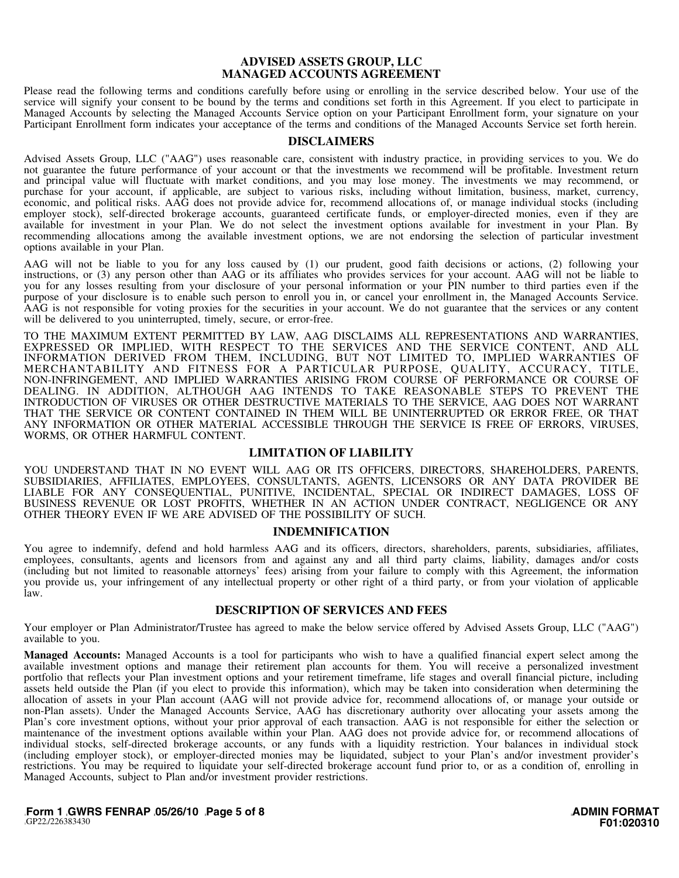#### **ADVISED ASSETS GROUP, LLC MANAGED ACCOUNTS AGREEMENT**

Please read the following terms and conditions carefully before using or enrolling in the service described below. Your use of the service will signify your consent to be bound by the terms and conditions set forth in this Agreement. If you elect to participate in Managed Accounts by selecting the Managed Accounts Service option on your Participant Enrollment form, your signature on your Participant Enrollment form indicates your acceptance of the terms and conditions of the Managed Accounts Service set forth herein.

#### **DISCLAIMERS**

Advised Assets Group, LLC ("AAG") uses reasonable care, consistent with industry practice, in providing services to you. We do not guarantee the future performance of your account or that the investments we recommend will be profitable. Investment return and principal value will fluctuate with market conditions, and you may lose money. The investments we may recommend, or purchase for your account, if applicable, are subject to various risks, including without limitation, business, market, currency, economic, and political risks. AAG does not provide advice for, recommend allocations of, or manage individual stocks (including employer stock), self-directed brokerage accounts, guaranteed certificate funds, or employer-directed monies, even if they are available for investment in your Plan. We do not select the investment options available for investment in your Plan. By recommending allocations among the available investment options, we are not endorsing the selection of particular investment options available in your Plan.

AAG will not be liable to you for any loss caused by (1) our prudent, good faith decisions or actions, (2) following your instructions, or (3) any person other than AAG or its affiliates who provides services for your account. AAG will not be liable to you for any losses resulting from your disclosure of your personal information or your PIN number to third parties even if the purpose of your disclosure is to enable such person to enroll you in, or cancel your enrollment in, the Managed Accounts Service. AAG is not responsible for voting proxies for the securities in your account. We do not guarantee that the services or any content will be delivered to you uninterrupted, timely, secure, or error-free.

TO THE MAXIMUM EXTENT PERMITTED BY LAW, AAG DISCLAIMS ALL REPRESENTATIONS AND WARRANTIES, EXPRESSED OR IMPLIED, WITH RESPECT TO THE SERVICES AND THE SERVICE CONTENT, AND ALL INFORMATION DERIVED FROM THEM, INCLUDING, BUT NOT LIMITED TO, IMPLIED WARRANTIES OF MERCHANTABILITY AND FITNESS FOR A PARTICULAR PURPOSE, QUALITY, ACCURACY, TITLE, NON-INFRINGEMENT, AND IMPLIED WARRANTIES ARISING FROM COURSE OF PERFORMANCE OR COURSE OF DEALING. IN ADDITION, ALTHOUGH AAG INTENDS TO TAKE REASONABLE STEPS TO PREVENT THE INTRODUCTION OF VIRUSES OR OTHER DESTRUCTIVE MATERIALS TO THE SERVICE, AAG DOES NOT WARRANT THAT THE SERVICE OR CONTENT CONTAINED IN THEM WILL BE UNINTERRUPTED OR ERROR FREE, OR THAT ANY INFORMATION OR OTHER MATERIAL ACCESSIBLE THROUGH THE SERVICE IS FREE OF ERRORS, VIRUSES, WORMS, OR OTHER HARMFUL CONTENT.

#### **LIMITATION OF LIABILITY**

YOU UNDERSTAND THAT IN NO EVENT WILL AAG OR ITS OFFICERS, DIRECTORS, SHAREHOLDERS, PARENTS, SUBSIDIARIES, AFFILIATES, EMPLOYEES, CONSULTANTS, AGENTS, LICENSORS OR ANY DATA PROVIDER BE LIABLE FOR ANY CONSEQUENTIAL, PUNITIVE, INCIDENTAL, SPECIAL OR INDIRECT DAMAGES, LOSS OF BUSINESS REVENUE OR LOST PROFITS, WHETHER IN AN ACTION UNDER CONTRACT, NEGLIGENCE OR ANY OTHER THEORY EVEN IF WE ARE ADVISED OF THE POSSIBILITY OF SUCH.

#### **INDEMNIFICATION**

You agree to indemnify, defend and hold harmless AAG and its officers, directors, shareholders, parents, subsidiaries, affiliates, employees, consultants, agents and licensors from and against any and all third party claims, liability, damages and/or costs (including but not limited to reasonable attorneys' fees) arising from your failure to comply with this Agreement, the information you provide us, your infringement of any intellectual property or other right of a third party, or from your violation of applicable law.

#### **DESCRIPTION OF SERVICES AND FEES**

Your employer or Plan Administrator/Trustee has agreed to make the below service offered by Advised Assets Group, LLC ("AAG") available to you.

**Managed Accounts:** Managed Accounts is a tool for participants who wish to have a qualified financial expert select among the available investment options and manage their retirement plan accounts for them. You will receive a personalized investment portfolio that reflects your Plan investment options and your retirement timeframe, life stages and overall financial picture, including assets held outside the Plan (if you elect to provide this information), which may be taken into consideration when determining the allocation of assets in your Plan account (AAG will not provide advice for, recommend allocations of, or manage your outside or non-Plan assets). Under the Managed Accounts Service, AAG has discretionary authority over allocating your assets among the Plan's core investment options, without your prior approval of each transaction. AAG is not responsible for either the selection or maintenance of the investment options available within your Plan. AAG does not provide advice for, or recommend allocations of individual stocks, self-directed brokerage accounts, or any funds with a liquidity restriction. Your balances in individual stock (including employer stock), or employer-directed monies may be liquidated, subject to your Plan's and/or investment provider's restrictions. You may be required to liquidate your self-directed brokerage account fund prior to, or as a condition of, enrolling in Managed Accounts, subject to Plan and/or investment provider restrictions.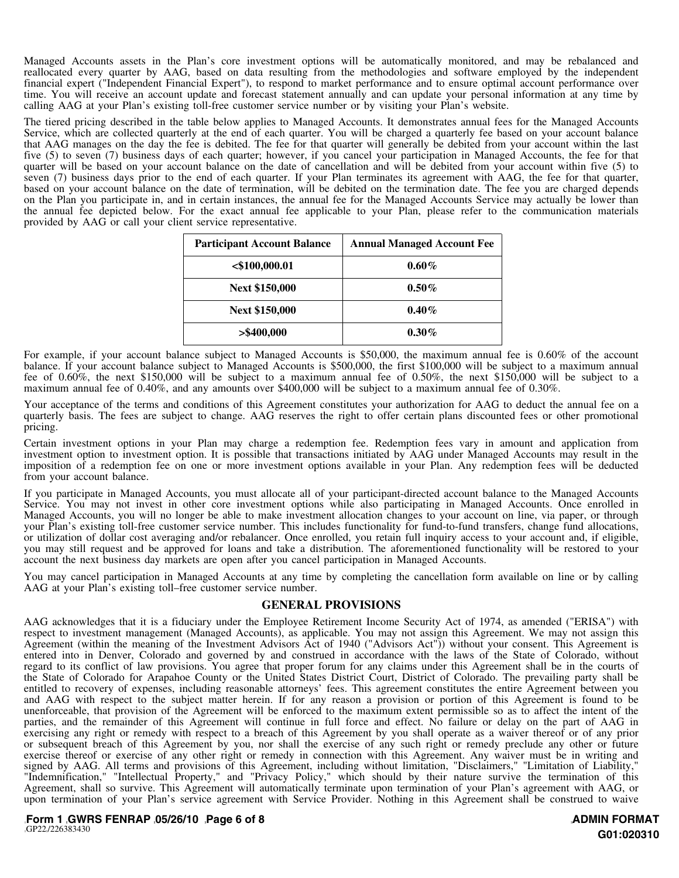Managed Accounts assets in the Plan's core investment options will be automatically monitored, and may be rebalanced and reallocated every quarter by AAG, based on data resulting from the methodologies and software employed by the independent financial expert ("Independent Financial Expert"), to respond to market performance and to ensure optimal account performance over time. You will receive an account update and forecast statement annually and can update your personal information at any time by calling AAG at your Plan's existing toll-free customer service number or by visiting your Plan's website.

The tiered pricing described in the table below applies to Managed Accounts. It demonstrates annual fees for the Managed Accounts Service, which are collected quarterly at the end of each quarter. You will be charged a quarterly fee based on your account balance that AAG manages on the day the fee is debited. The fee for that quarter will generally be debited from your account within the last five (5) to seven (7) business days of each quarter; however, if you cancel your participation in Managed Accounts, the fee for that quarter will be based on your account balance on the date of cancellation and will be debited from your account within five (5) to seven (7) business days prior to the end of each quarter. If your Plan terminates its agreement with AAG, the fee for that quarter, based on your account balance on the date of termination, will be debited on the termination date. The fee you are charged depends on the Plan you participate in, and in certain instances, the annual fee for the Managed Accounts Service may actually be lower than the annual fee depicted below. For the exact annual fee applicable to your Plan, please refer to the communication materials provided by AAG or call your client service representative.

| <b>Participant Account Balance</b> | <b>Annual Managed Account Fee</b> |
|------------------------------------|-----------------------------------|
| $<$ \$100,000.01                   | $0.60\%$                          |
| <b>Next \$150,000</b>              | $0.50\%$                          |
| <b>Next \$150,000</b>              | $0.40\%$                          |
| $>$ \$400,000                      | $0.30\%$                          |

For example, if your account balance subject to Managed Accounts is \$50,000, the maximum annual fee is 0.60% of the account balance. If your account balance subject to Managed Accounts is \$500,000, the first \$100,000 will be subject to a maximum annual fee of 0.60%, the next \$150,000 will be subject to a maximum annual fee of 0.50%, the next \$150,000 will be subject to a maximum annual fee of 0.40%, and any amounts over \$400,000 will be subject to a maximum annual fee of 0.30%.

Your acceptance of the terms and conditions of this Agreement constitutes your authorization for AAG to deduct the annual fee on a quarterly basis. The fees are subject to change. AAG reserves the right to offer certain plans discounted fees or other promotional pricing.

Certain investment options in your Plan may charge a redemption fee. Redemption fees vary in amount and application from investment option to investment option. It is possible that transactions initiated by AAG under Managed Accounts may result in the imposition of a redemption fee on one or more investment options available in your Plan. Any redemption fees will be deducted from your account balance.

If you participate in Managed Accounts, you must allocate all of your participant-directed account balance to the Managed Accounts Service. You may not invest in other core investment options while also participating in Managed Accounts. Once enrolled in Managed Accounts, you will no longer be able to make investment allocation changes to your account on line, via paper, or through your Plan's existing toll-free customer service number. This includes functionality for fund-to-fund transfers, change fund allocations, or utilization of dollar cost averaging and/or rebalancer. Once enrolled, you retain full inquiry access to your account and, if eligible, you may still request and be approved for loans and take a distribution. The aforementioned functionality will be restored to your account the next business day markets are open after you cancel participation in Managed Accounts.

You may cancel participation in Managed Accounts at any time by completing the cancellation form available on line or by calling AAG at your Plan's existing toll–free customer service number.

## **GENERAL PROVISIONS**

AAG acknowledges that it is a fiduciary under the Employee Retirement Income Security Act of 1974, as amended ("ERISA") with respect to investment management (Managed Accounts), as applicable. You may not assign this Agreement. We may not assign this Agreement (within the meaning of the Investment Advisors Act of 1940 ("Advisors Act")) without your consent. This Agreement is entered into in Denver, Colorado and governed by and construed in accordance with the laws of the State of Colorado, without regard to its conflict of law provisions. You agree that proper forum for any claims under this Agreement shall be in the courts of the State of Colorado for Arapahoe County or the United States District Court, District of Colorado. The prevailing party shall be entitled to recovery of expenses, including reasonable attorneys' fees. This agreement constitutes the entire Agreement between you and AAG with respect to the subject matter herein. If for any reason a provision or portion of this Agreement is found to be unenforceable, that provision of the Agreement will be enforced to the maximum extent permissible so as to affect the intent of the parties, and the remainder of this Agreement will continue in full force and effect. No failure or delay on the part of AAG in exercising any right or remedy with respect to a breach of this Agreement by you shall operate as a waiver thereof or of any prior or subsequent breach of this Agreement by you, nor shall the exercise of any such right or remedy preclude any other or future exercise thereof or exercise of any other right or remedy in connection with this Agreement. Any waiver must be in writing and signed by AAG. All terms and provisions of this Agreement, including without limitation, "Disclaimers," "Limitation of Liability," "Indemnification," "Intellectual Property," and "Privacy Policy," which should by their nature survive the termination of this Agreement, shall so survive. This Agreement will automatically terminate upon termination of your Plan's agreement with AAG, or upon termination of your Plan's service agreement with Service Provider. Nothing in this Agreement shall be construed to waive

][**Form 1 ][GWRS FENRAP ][05/26/10 ][Page 6 of 8** ][GP22][/226383430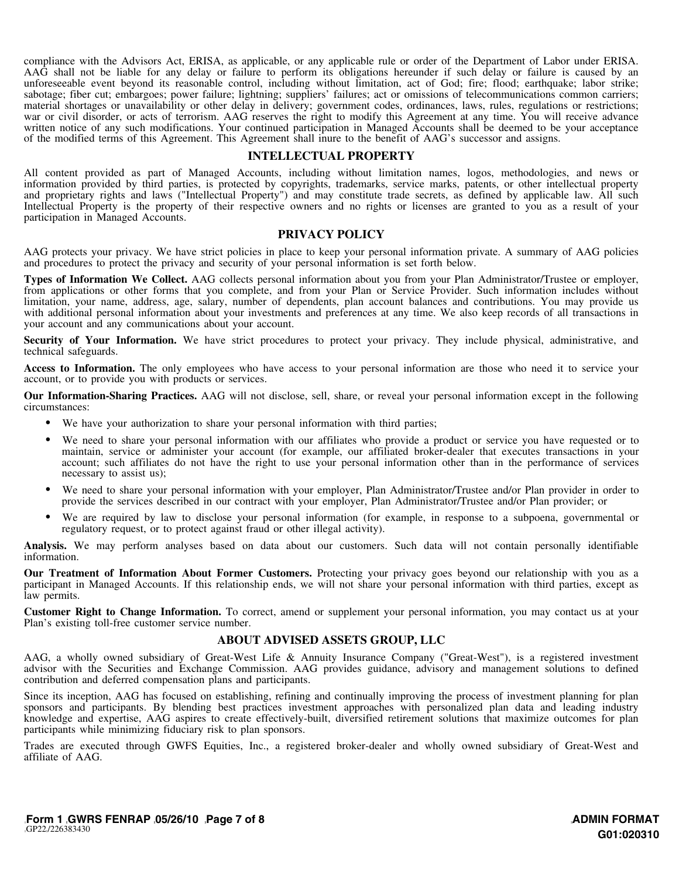compliance with the Advisors Act, ERISA, as applicable, or any applicable rule or order of the Department of Labor under ERISA. AAG shall not be liable for any delay or failure to perform its obligations hereunder if such delay or failure is caused by an unforeseeable event beyond its reasonable control, including without limitation, act of God; fire; flood; earthquake; labor strike; sabotage; fiber cut; embargoes; power failure; lightning; suppliers' failures; act or omissions of telecommunications common carriers; material shortages or unavailability or other delay in delivery; government codes, ordinances, laws, rules, regulations or restrictions; war or civil disorder, or acts of terrorism. AAG reserves the right to modify this Agreement at any time. You will receive advance written notice of any such modifications. Your continued participation in Managed Accounts shall be deemed to be your acceptance of the modified terms of this Agreement. This Agreement shall inure to the benefit of AAG's successor and assigns.

#### **INTELLECTUAL PROPERTY**

All content provided as part of Managed Accounts, including without limitation names, logos, methodologies, and news or information provided by third parties, is protected by copyrights, trademarks, service marks, patents, or other intellectual property and proprietary rights and laws ("Intellectual Property") and may constitute trade secrets, as defined by applicable law. All such Intellectual Property is the property of their respective owners and no rights or licenses are granted to you as a result of your participation in Managed Accounts.

#### **PRIVACY POLICY**

AAG protects your privacy. We have strict policies in place to keep your personal information private. A summary of AAG policies and procedures to protect the privacy and security of your personal information is set forth below.

**Types of Information We Collect.** AAG collects personal information about you from your Plan Administrator/Trustee or employer, from applications or other forms that you complete, and from your Plan or Service Provider. Such information includes without limitation, your name, address, age, salary, number of dependents, plan account balances and contributions. You may provide us with additional personal information about your investments and preferences at any time. We also keep records of all transactions in your account and any communications about your account.

**Security of Your Information.** We have strict procedures to protect your privacy. They include physical, administrative, and technical safeguards.

Access to Information. The only employees who have access to your personal information are those who need it to service your account, or to provide you with products or services.

**Our Information-Sharing Practices.** AAG will not disclose, sell, share, or reveal your personal information except in the following circumstances:

- We have your authorization to share your personal information with third parties;
- We need to share your personal information with our affiliates who provide a product or service you have requested or to maintain, service or administer your account (for example, our affiliated broker-dealer that executes transactions in your account; such affiliates do not have the right to use your personal information other than in the performance of services necessary to assist us);
- We need to share your personal information with your employer, Plan Administrator/Trustee and/or Plan provider in order to provide the services described in our contract with your employer, Plan Administrator/Trustee and/or Plan provider; or
- We are required by law to disclose your personal information (for example, in response to a subpoena, governmental or regulatory request, or to protect against fraud or other illegal activity).

**Analysis.** We may perform analyses based on data about our customers. Such data will not contain personally identifiable information.

**Our Treatment of Information About Former Customers.** Protecting your privacy goes beyond our relationship with you as a participant in Managed Accounts. If this relationship ends, we will not share your personal information with third parties, except as law permits.

**Customer Right to Change Information.** To correct, amend or supplement your personal information, you may contact us at your Plan's existing toll-free customer service number.

## **ABOUT ADVISED ASSETS GROUP, LLC**

AAG, a wholly owned subsidiary of Great-West Life & Annuity Insurance Company ("Great-West"), is a registered investment advisor with the Securities and Exchange Commission. AAG provides guidance, advisory and management solutions to defined contribution and deferred compensation plans and participants.

Since its inception, AAG has focused on establishing, refining and continually improving the process of investment planning for plan sponsors and participants. By blending best practices investment approaches with personalized plan data and leading industry knowledge and expertise, AAG aspires to create effectively-built, diversified retirement solutions that maximize outcomes for plan participants while minimizing fiduciary risk to plan sponsors.

Trades are executed through GWFS Equities, Inc., a registered broker-dealer and wholly owned subsidiary of Great-West and affiliate of AAG.